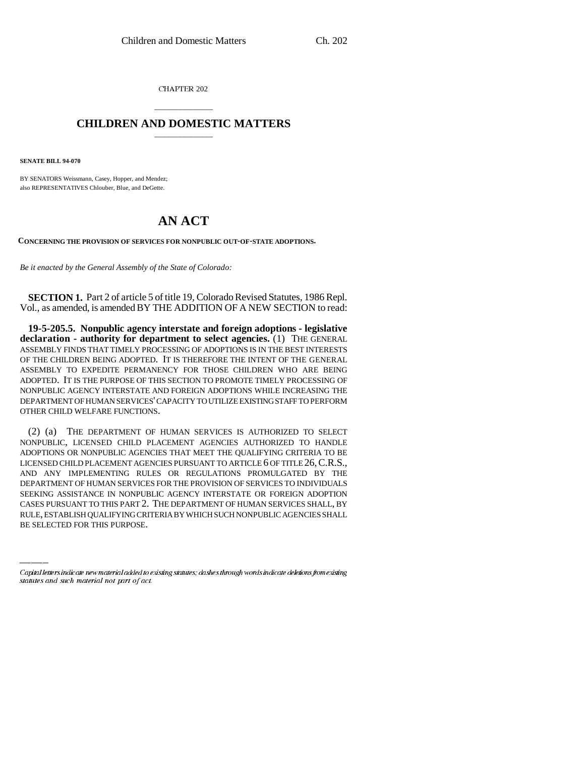CHAPTER 202

## \_\_\_\_\_\_\_\_\_\_\_\_\_\_\_ **CHILDREN AND DOMESTIC MATTERS** \_\_\_\_\_\_\_\_\_\_\_\_\_\_\_

**SENATE BILL 94-070**

BY SENATORS Weissmann, Casey, Hopper, and Mendez; also REPRESENTATIVES Chlouber, Blue, and DeGette.

## **AN ACT**

**CONCERNING THE PROVISION OF SERVICES FOR NONPUBLIC OUT-OF-STATE ADOPTIONS.**

*Be it enacted by the General Assembly of the State of Colorado:*

**SECTION 1.** Part 2 of article 5 of title 19, Colorado Revised Statutes, 1986 Repl. Vol., as amended, is amended BY THE ADDITION OF A NEW SECTION to read:

**19-5-205.5. Nonpublic agency interstate and foreign adoptions - legislative declaration - authority for department to select agencies.** (1) THE GENERAL ASSEMBLY FINDS THAT TIMELY PROCESSING OF ADOPTIONS IS IN THE BEST INTERESTS OF THE CHILDREN BEING ADOPTED. IT IS THEREFORE THE INTENT OF THE GENERAL ASSEMBLY TO EXPEDITE PERMANENCY FOR THOSE CHILDREN WHO ARE BEING ADOPTED. IT IS THE PURPOSE OF THIS SECTION TO PROMOTE TIMELY PROCESSING OF NONPUBLIC AGENCY INTERSTATE AND FOREIGN ADOPTIONS WHILE INCREASING THE DEPARTMENT OF HUMAN SERVICES' CAPACITY TO UTILIZE EXISTING STAFF TO PERFORM OTHER CHILD WELFARE FUNCTIONS.

SEEKING ASSISTANCE IN NONPUBLIC AGENCY INTERSTATE OR FOREIGN ADOPTION (2) (a) THE DEPARTMENT OF HUMAN SERVICES IS AUTHORIZED TO SELECT NONPUBLIC, LICENSED CHILD PLACEMENT AGENCIES AUTHORIZED TO HANDLE ADOPTIONS OR NONPUBLIC AGENCIES THAT MEET THE QUALIFYING CRITERIA TO BE LICENSED CHILD PLACEMENT AGENCIES PURSUANT TO ARTICLE 6 OF TITLE 26, C.R.S., AND ANY IMPLEMENTING RULES OR REGULATIONS PROMULGATED BY THE DEPARTMENT OF HUMAN SERVICES FOR THE PROVISION OF SERVICES TO INDIVIDUALS CASES PURSUANT TO THIS PART 2. THE DEPARTMENT OF HUMAN SERVICES SHALL, BY RULE, ESTABLISH QUALIFYING CRITERIA BY WHICH SUCH NONPUBLIC AGENCIES SHALL BE SELECTED FOR THIS PURPOSE.

Capital letters indicate new material added to existing statutes; dashes through words indicate deletions from existing statutes and such material not part of act.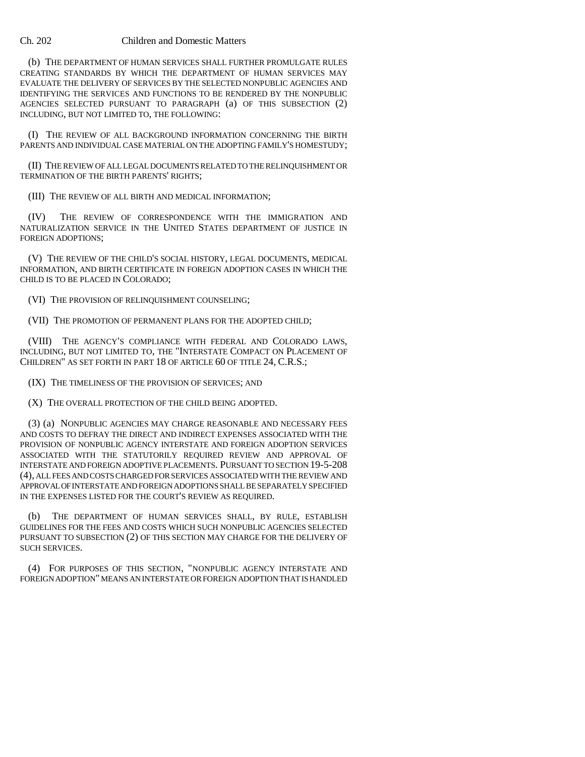## Ch. 202 Children and Domestic Matters

(b) THE DEPARTMENT OF HUMAN SERVICES SHALL FURTHER PROMULGATE RULES CREATING STANDARDS BY WHICH THE DEPARTMENT OF HUMAN SERVICES MAY EVALUATE THE DELIVERY OF SERVICES BY THE SELECTED NONPUBLIC AGENCIES AND IDENTIFYING THE SERVICES AND FUNCTIONS TO BE RENDERED BY THE NONPUBLIC AGENCIES SELECTED PURSUANT TO PARAGRAPH (a) OF THIS SUBSECTION (2) INCLUDING, BUT NOT LIMITED TO, THE FOLLOWING:

(I) THE REVIEW OF ALL BACKGROUND INFORMATION CONCERNING THE BIRTH PARENTS AND INDIVIDUAL CASE MATERIAL ON THE ADOPTING FAMILY'S HOMESTUDY;

(II) THE REVIEW OF ALL LEGAL DOCUMENTS RELATED TO THE RELINQUISHMENT OR TERMINATION OF THE BIRTH PARENTS' RIGHTS;

(III) THE REVIEW OF ALL BIRTH AND MEDICAL INFORMATION;

(IV) THE REVIEW OF CORRESPONDENCE WITH THE IMMIGRATION AND NATURALIZATION SERVICE IN THE UNITED STATES DEPARTMENT OF JUSTICE IN FOREIGN ADOPTIONS;

(V) THE REVIEW OF THE CHILD'S SOCIAL HISTORY, LEGAL DOCUMENTS, MEDICAL INFORMATION, AND BIRTH CERTIFICATE IN FOREIGN ADOPTION CASES IN WHICH THE CHILD IS TO BE PLACED IN COLORADO;

(VI) THE PROVISION OF RELINQUISHMENT COUNSELING;

(VII) THE PROMOTION OF PERMANENT PLANS FOR THE ADOPTED CHILD;

(VIII) THE AGENCY'S COMPLIANCE WITH FEDERAL AND COLORADO LAWS, INCLUDING, BUT NOT LIMITED TO, THE "INTERSTATE COMPACT ON PLACEMENT OF CHILDREN" AS SET FORTH IN PART 18 OF ARTICLE 60 OF TITLE 24, C.R.S.;

(IX) THE TIMELINESS OF THE PROVISION OF SERVICES; AND

(X) THE OVERALL PROTECTION OF THE CHILD BEING ADOPTED.

(3) (a) NONPUBLIC AGENCIES MAY CHARGE REASONABLE AND NECESSARY FEES AND COSTS TO DEFRAY THE DIRECT AND INDIRECT EXPENSES ASSOCIATED WITH THE PROVISION OF NONPUBLIC AGENCY INTERSTATE AND FOREIGN ADOPTION SERVICES ASSOCIATED WITH THE STATUTORILY REQUIRED REVIEW AND APPROVAL OF INTERSTATE AND FOREIGN ADOPTIVE PLACEMENTS. PURSUANT TO SECTION 19-5-208 (4), ALL FEES AND COSTS CHARGED FOR SERVICES ASSOCIATED WITH THE REVIEW AND APPROVAL OF INTERSTATE AND FOREIGN ADOPTIONS SHALL BE SEPARATELY SPECIFIED IN THE EXPENSES LISTED FOR THE COURT'S REVIEW AS REQUIRED.

(b) THE DEPARTMENT OF HUMAN SERVICES SHALL, BY RULE, ESTABLISH GUIDELINES FOR THE FEES AND COSTS WHICH SUCH NONPUBLIC AGENCIES SELECTED PURSUANT TO SUBSECTION (2) OF THIS SECTION MAY CHARGE FOR THE DELIVERY OF SUCH SERVICES.

(4) FOR PURPOSES OF THIS SECTION, "NONPUBLIC AGENCY INTERSTATE AND FOREIGN ADOPTION" MEANS AN INTERSTATE OR FOREIGN ADOPTION THAT IS HANDLED